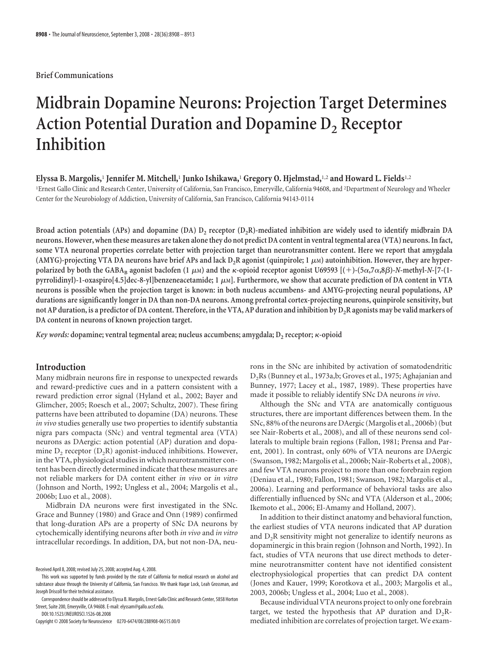## **Brief Communications**

# **Midbrain Dopamine Neurons: Projection Target Determines** Action Potential Duration and Dopamine D<sub>2</sub> Receptor **Inhibition**

**Elyssa B. Margolis,**<sup>1</sup> **Jennifer M. Mitchell,**<sup>1</sup> **Junko Ishikawa,**<sup>1</sup> **Gregory O. Hjelmstad,**1,2 **and Howard L. Fields**1,2

<sup>1</sup>Ernest Gallo Clinic and Research Center, University of California, San Francisco, Emeryville, California 94608, and <sup>2</sup>Department of Neurology and Wheeler Center for the Neurobiology of Addiction, University of California, San Francisco, California 94143-0114

Broad action potentials (APs) and dopamine (DA)  $D_2$  receptor ( $D_2R$ )-mediated inhibition are widely used to identify midbrain DA **neurons. However, whenthese measures aretaken alonethey do not predict DA content in ventraltegmental area (VTA) neurons. In fact, some VTA neuronal properties correlate better with projection target than neurotransmitter content. Here we report that amygdala** (AMYG)-projecting VTA DA neurons have brief APs and lack D<sub>2</sub>R agonist (quinpirole; 1  $\mu$ <sub>M</sub>) autoinhibition. However, they are hyper $polarized$  by both the GABA<sub>B</sub> agonist baclofen (1  $\mu$ m) and the  $\kappa$ -opioid receptor agonist U69593 [(+)-(5 $\alpha$ ,7 $\alpha$ ,8 $\beta$ )- $N$ -methyl- $N$ -[7-(1 $pyrrolidinyl)-1-oxaspiro[4.5]dec-8-yl]benzeneacetamide; 1 $\mu$ M]. Furthermore, we show that accurate prediction of DA content in VTA$ **neurons is possible when the projection target is known: in both nucleus accumbens- and AMYG-projecting neural populations, AP durations are significantly longer in DA than non-DA neurons. Among prefrontal cortex-projecting neurons, quinpirole sensitivity, but** not AP duration, is a predictor of DA content. Therefore, in the VTA, AP duration and inhibition by D<sub>2</sub>R agonists may be valid markers of **DA content in neurons of known projection target.**

*Key words:* **dopamine; ventral tegmental area; nucleus accumbens; amygdala; D2 receptor;** -**-opioid**

# **Introduction**

Many midbrain neurons fire in response to unexpected rewards and reward-predictive cues and in a pattern consistent with a reward prediction error signal (Hyland et al., 2002; Bayer and Glimcher, 2005; Roesch et al., 2007; Schultz, 2007). These firing patterns have been attributed to dopamine (DA) neurons. These *in vivo* studies generally use two properties to identify substantia nigra pars compacta (SNc) and ventral tegmental area (VTA) neurons as DAergic: action potential (AP) duration and dopamine  $D_2$  receptor  $(D_2R)$  agonist-induced inhibitions. However, in the VTA, physiological studies in which neurotransmitter content has been directly determined indicate that these measures are not reliable markers for DA content either *in vivo* or *in vitro* (Johnson and North, 1992; Ungless et al., 2004; Margolis et al., 2006b; Luo et al., 2008).

Midbrain DA neurons were first investigated in the SNc. Grace and Bunney (1980) and Grace and Onn (1989) confirmed that long-duration APs are a property of SNc DA neurons by cytochemically identifying neurons after both *in vivo* and *in vitro* intracellular recordings. In addition, DA, but not non-DA, neu-

DOI:10.1523/JNEUROSCI.1526-08.2008

rons in the SNc are inhibited by activation of somatodendritic D2Rs (Bunney et al., 1973a,b; Groves et al., 1975; Aghajanian and Bunney, 1977; Lacey et al., 1987, 1989). These properties have made it possible to reliably identify SNc DA neurons *in vivo*.

Although the SNc and VTA are anatomically contiguous structures, there are important differences between them. In the SNc, 88% of the neurons are DAergic (Margolis et al., 2006b) (but see Nair-Roberts et al., 2008), and all of these neurons send collaterals to multiple brain regions (Fallon, 1981; Prensa and Parent, 2001). In contrast, only 60% of VTA neurons are DAergic (Swanson, 1982; Margolis et al., 2006b; Nair-Roberts et al., 2008), and few VTA neurons project to more than one forebrain region (Deniau et al., 1980; Fallon, 1981; Swanson, 1982; Margolis et al., 2006a). Learning and performance of behavioral tasks are also differentially influenced by SNc and VTA (Alderson et al., 2006; Ikemoto et al., 2006; El-Amamy and Holland, 2007).

In addition to their distinct anatomy and behavioral function, the earliest studies of VTA neurons indicated that AP duration and  $D<sub>2</sub>R$  sensitivity might not generalize to identify neurons as dopaminergic in this brain region (Johnson and North, 1992). In fact, studies of VTA neurons that use direct methods to determine neurotransmitter content have not identified consistent electrophysiological properties that can predict DA content (Jones and Kauer, 1999; Korotkova et al., 2003; Margolis et al., 2003, 2006b; Ungless et al., 2004; Luo et al., 2008).

Because individual VTA neurons project to only one forebrain target, we tested the hypothesis that AP duration and  $D_2R$ mediated inhibition are correlates of projection target. We exam-

Received April 8, 2008; revised July 25, 2008; accepted Aug. 4, 2008.

This work was supported by funds provided by the state of California for medical research on alcohol and substance abuse through the University of California, San Francisco. We thank Hagar Lock, Leah Grossman, and Joseph Driscoll for their technical assistance.

Correspondenceshould be addressed to Elyssa B. Margolis, Ernest Gallo Clinic and Research Center, 5858 Horton Street, Suite 200, Emeryville, CA 94608. E-mail: elyssam@gallo.ucsf.edu.

Copyright © 2008 Society for Neuroscience 0270-6474/08/288908-06\$15.00/0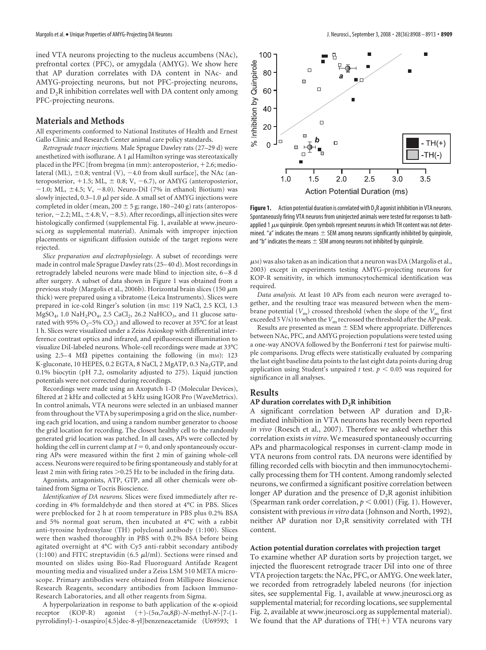ined VTA neurons projecting to the nucleus accumbens (NAc), prefrontal cortex (PFC), or amygdala (AMYG). We show here that AP duration correlates with DA content in NAc- and AMYG-projecting neurons, but not PFC-projecting neurons, and  $D_2R$  inhibition correlates well with DA content only among PFC-projecting neurons.

## **Materials and Methods**

All experiments conformed to National Institutes of Health and Ernest Gallo Clinic and Research Center animal care policy standards.

*Retrograde tracer injections.* Male Sprague Dawley rats (27–29 d) were anesthetized with isoflurane. A 1  $\mu$ l Hamilton syringe was stereotaxically placed in the PFC [from bregma (in mm): anteroposterior,  $+2.6$ ; mediolateral (ML),  $\pm$ 0.8; ventral (V),  $-4.0$  from skull surface], the NAc (anteroposterior,  $+1.5$ ; ML,  $\pm$  0.8; V, -6.7), or AMYG (anteroposterior,  $-1.0$ ; ML,  $\pm 4.5$ ; V,  $-8.0$ ). Neuro-DiI (7% in ethanol; Biotium) was slowly injected,  $0.3-1.0 \mu l$  per side. A small set of AMYG injections were completed in older (mean,  $200 \pm 5$  g; range,  $180 - 240$  g) rats (anteroposterior,  $-2.2;$  ML,  $\pm 4.8;$  V,  $-8.5$ ). After recordings, all injection sites were histologically confirmed (supplemental Fig. 1, available at www.jneurosci.org as supplemental material). Animals with improper injection placements or significant diffusion outside of the target regions were rejected.

*Slice preparation and electrophysiology.* A subset of recordings were made in control male Sprague Dawley rats (25– 40 d). Most recordings in retrogradely labeled neurons were made blind to injection site, 6 – 8 d after surgery. A subset of data shown in Figure 1 was obtained from a previous study (Margolis et al., 2006b). Horizontal brain slices (150  $\mu$ m thick) were prepared using a vibratome (Leica Instruments). Slices were prepared in ice-cold Ringer's solution (in mM: 119 NaCl, 2.5 KCl, 1.3  $MgSO_4$ , 1.0 NaH<sub>2</sub>PO<sub>4</sub>, 2.5 CaCl<sub>2</sub>, 26.2 NaHCO<sub>3</sub>, and 11 glucose saturated with 95%  $O_2$ –5%  $CO_2$ ) and allowed to recover at 35°C for at least 1 h. Slices were visualized under a Zeiss Axioskop with differential interference contrast optics and infrared, and epifluorescent illumination to visualize DiI-labeled neurons. Whole-cell recordings were made at 33°C using 2.5–4  $\text{M}\Omega$  pipettes containing the following (in mm): 123 K-gluconate, 10 HEPES, 0.2 EGTA, 8 NaCl, 2 MgATP, 0.3 Na<sub>3</sub>GTP, and 0.1% biocytin (pH 7.2, osmolarity adjusted to 275). Liquid junction potentials were not corrected during recordings.

Recordings were made using an Axopatch 1-D (Molecular Devices), filtered at 2 kHz and collected at 5 kHz using IGOR Pro (WaveMetrics). In control animals, VTA neurons were selected in an unbiased manner from throughout the VTA by superimposing a grid on the slice, numbering each grid location, and using a random number generator to choose the grid location for recording. The closest healthy cell to the randomly generated grid location was patched. In all cases, APs were collected by holding the cell in current clamp at  $I = 0$ , and only spontaneously occurring APs were measured within the first 2 min of gaining whole-cell access. Neurons were required to be firing spontaneously and stably for at least 2 min with firing rates  $> 0.25$  Hz to be included in the firing data.

Agonists, antagonists, ATP, GTP, and all other chemicals were obtained from Sigma or Tocris Bioscience.

*Identification of DA neurons.* Slices were fixed immediately after recording in 4% formaldehyde and then stored at 4°C in PBS. Slices were preblocked for 2 h at room temperature in PBS plus 0.2% BSA and 5% normal goat serum, then incubated at 4°C with a rabbit anti-tyrosine hydroxylase (TH) polyclonal antibody (1:100). Slices were then washed thoroughly in PBS with 0.2% BSA before being agitated overnight at 4°C with Cy5 anti-rabbit secondary antibody (1:100) and FITC streptavidin (6.5  $\mu$ l/ml). Sections were rinsed and mounted on slides using Bio-Rad Fluoroguard Antifade Reagent mounting media and visualized under a Zeiss LSM 510 META microscope. Primary antibodies were obtained from Millipore Bioscience Research Reagents, secondary antibodies from Jackson Immuno-Research Laboratories, and all other reagents from Sigma.

A hyperpolarization in response to bath application of the  $\kappa$ -opioid receptor (KOP-R) agonist  $(+)$ - $(5\alpha,7\alpha,8\beta)$ -*N*-methyl-*N*- $[7$ - $(1$ pyrrolidinyl)-1-oxaspiro[4.5]dec-8-yl]benzeneacetamide (U69593; 1



Figure 1. Action potential duration is correlated with D<sub>2</sub>R agonist inhibition in VTA neurons. Spontaneously firing VTA neurons from uninjected animals were tested for responses to bathapplied 1  $\mu$ M quinpirole. Open symbols represent neurons in which TH content was not determined. "a" indicates the means  $\pm$  SEM among neurons significantly inhibited by quinpirole, and "b" indicates the means  $\pm$  SEM among neurons not inhibited by quinpirole.

 $\mu$ M) was also taken as an indication that a neuron was DA (Margolis et al., 2003) except in experiments testing AMYG-projecting neurons for KOP-R sensitivity, in which immunocytochemical identification was required.

*Data analysis.* At least 10 APs from each neuron were averaged together, and the resulting trace was measured between when the membrane potential  $(V_m)$  crossed threshold (when the slope of the  $V_m$  first exceeded 5 V/s) to when the  $V<sub>m</sub>$  recrossed the threshold after the AP peak.

Results are presented as mean  $\pm$  SEM where appropriate. Differences between NAc, PFC, and AMYG projection populations were tested using a one-way ANOVA followed by the Bonferroni *t* test for pairwise multiple comparisons. Drug effects were statistically evaluated by comparing the last eight baseline data points to the last eight data points during drug application using Student's unpaired *t* test.  $p < 0.05$  was required for significance in all analyses.

## **Results**

### AP duration correlates with D<sub>2</sub>R inhibition

A significant correlation between AP duration and  $D_2R$ mediated inhibition in VTA neurons has recently been reported *in vivo* (Roesch et al., 2007). Therefore we asked whether this correlation exists *in vitro*. We measured spontaneously occurring APs and pharmacological responses in current-clamp mode in VTA neurons from control rats. DA neurons were identified by filling recorded cells with biocytin and then immunocytochemically processing them for TH content. Among randomly selected neurons, we confirmed a significant positive correlation between longer AP duration and the presence of  $D_2R$  agonist inhibition (Spearman rank order correlation,  $p < 0.001$ ) (Fig. 1). However, consistent with previous*in vitro* data (Johnson and North, 1992), neither AP duration nor  $D_2R$  sensitivity correlated with TH content.

#### **Action potential duration correlates with projection target**

To examine whether AP duration sorts by projection target, we injected the fluorescent retrograde tracer DiI into one of three VTA projection targets: the NAc, PFC, or AMYG. One week later, we recorded from retrogradely labeled neurons (for injection sites, see supplemental Fig. 1, available at www.jneurosci.org as supplemental material; for recording locations, see supplemental Fig. 2, available at www.jneurosci.org as supplemental material). We found that the AP durations of  $TH(+)$  VTA neurons vary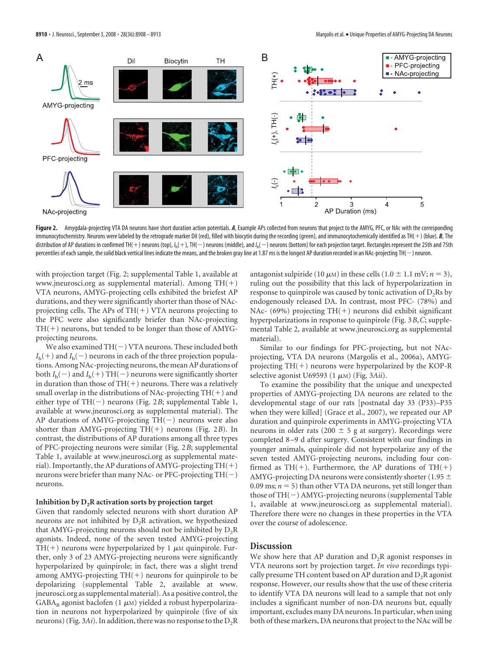

Figure 2. Amygdala-projecting VTA DA neurons have short duration action potentials. A, Example APs collected from neurons that project to the AMYG, PFC, or NAc with the corresponding immunocytochemistry. Neurons were labeled by the retrograde marker Dil (red), filled with biocytin during the recording (green), and immunocytochemically identified as TH(+) (blue). *B*, The distribution of AP durations in confirmed TH(+) neurons (top), /<sub>h</sub>(+), TH(—) neurons (middle), and /<sub>h</sub>(—) neurons (bottom) for each projection target. Rectangles represent the 25th and 75th percentiles of each sample, the solid black vertical lines indicate the means, and the broken gray line at 1.87 ms is the longest AP duration recorded in an NAc-projecting TH(-) neuron.

with projection target (Fig. 2; supplemental Table 1, available at www.jneurosci.org as supplemental material). Among  $TH(+)$ VTA neurons, AMYG-projecting cells exhibited the briefest AP durations, and they were significantly shorter than those of NAcprojecting cells. The APs of  $TH(+)$  VTA neurons projecting to the PFC were also significantly briefer than NAc-projecting  $TH(+)$  neurons, but tended to be longer than those of AMYGprojecting neurons.

We also examined  $TH(-)$  VTA neurons. These included both  $I<sub>h</sub>(+)$  and  $I<sub>h</sub>(-)$  neurons in each of the three projection populations. Among NAc-projecting neurons, the mean AP durations of both  $I_h(-)$  and  $I_h(+)$  TH(-) neurons were significantly shorter in duration than those of  $TH(+)$  neurons. There was a relatively small overlap in the distributions of NAc-projecting  $TH(+)$  and either type of  $TH(-)$  neurons (Fig. 2*B*; supplemental Table 1, available at www.jneurosci.org as supplemental material). The AP durations of AMYG-projecting  $TH(-)$  neurons were also shorter than AMYG-projecting TH(+) neurons (Fig. 2B). In contrast, the distributions of AP durations among all three types of PFC-projecting neurons were similar (Fig. 2*B*; supplemental Table 1, available at www.jneurosci.org as supplemental material). Importantly, the AP durations of AMYG-projecting  $TH(+)$ neurons were briefer than many NAc- or PFC-projecting  $TH(-)$ neurons.

#### **Inhibition by D<sub>2</sub>R activation sorts by projection target**

Given that randomly selected neurons with short duration AP neurons are not inhibited by  $D_2R$  activation, we hypothesized that AMYG-projecting neurons should not be inhibited by  $D_2R$ agonists. Indeed, none of the seven tested AMYG-projecting TH(+) neurons were hyperpolarized by 1  $\mu$ M quinpirole. Further, only 3 of 23 AMYG-projecting neurons were significantly hyperpolarized by quinpirole; in fact, there was a slight trend among AMYG-projecting  $TH(+)$  neurons for quinpirole to be depolarizing (supplemental Table 2, available at www. jneurosci.org as supplemental material). As a positive control, the  $GABA_B$  agonist baclofen (1  $\mu$ M) yielded a robust hyperpolarization in neurons not hyperpolarized by quinpirole (five of six neurons) (Fig.  $3Ai$ ). In addition, there was no response to the  $D_2R$ 

antagonist sulpiride (10  $\mu$ m) in these cells (1.0  $\pm$  1.1 mV; *n* = 3), ruling out the possibility that this lack of hyperpolarization in response to quinpirole was caused by tonic activation of  $D_2Rs$  by endogenously released DA. In contrast, most PFC- (78%) and NAc- (69%) projecting  $TH(+)$  neurons did exhibit significant hyperpolarizations in response to quinpirole (Fig. 3*B*,*C*; supplemental Table 2, available at www.jneurosci.org as supplemental material).

Similar to our findings for PFC-projecting, but not NAcprojecting, VTA DA neurons (Margolis et al., 2006a), AMYGprojecting  $TH(+)$  neurons were hyperpolarized by the KOP-R selective agonist U69593 (1 μM) (Fig. 3Aii).

To examine the possibility that the unique and unexpected properties of AMYG-projecting DA neurons are related to the developmental stage of our rats [postnatal day 33 (P33)–P35 when they were killed] (Grace et al., 2007), we repeated our AP duration and quinpirole experiments in AMYG-projecting VTA neurons in older rats (200  $\pm$  5 g at surgery). Recordings were completed 8 –9 d after surgery. Consistent with our findings in younger animals, quinpirole did not hyperpolarize any of the seven tested AMYG-projecting neurons, including four confirmed as TH(+). Furthermore, the AP durations of TH(+) AMYG-projecting DA neurons were consistently shorter (1.95  $\pm$ 0.09 ms;  $n = 5$ ) than other VTA DA neurons, yet still longer than those of  $TH(-)$  AMYG-projecting neurons (supplemental Table 1, available at www.jneurosci.org as supplemental material). Therefore there were no changes in these properties in the VTA over the course of adolescence.

# **Discussion**

We show here that AP duration and  $D_2R$  agonist responses in VTA neurons sort by projection target. *In vivo* recordings typically presume TH content based on AP duration and  $D_2R$  agonist response. However, our results show that the use of these criteria to identify VTA DA neurons will lead to a sample that not only includes a significant number of non-DA neurons but, equally important, excludes many DA neurons. In particular, when using both of these markers, DA neurons that project to the NAc will be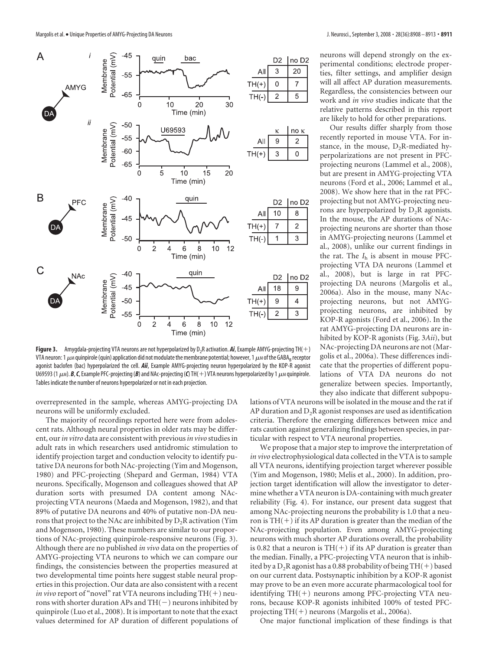

neurons will depend strongly on the experimental conditions; electrode properties, filter settings, and amplifier design will all affect AP duration measurements. Regardless, the consistencies between our work and *in vivo* studies indicate that the relative patterns described in this report are likely to hold for other preparations.

Our results differ sharply from those recently reported in mouse VTA. For instance, in the mouse,  $D_2R$ -mediated hyperpolarizations are not present in PFCprojecting neurons (Lammel et al., 2008), but are present in AMYG-projecting VTA neurons (Ford et al., 2006; Lammel et al., 2008). We show here that in the rat PFCprojecting but not AMYG-projecting neurons are hyperpolarized by  $D_2R$  agonists. In the mouse, the AP durations of NAcprojecting neurons are shorter than those in AMYG-projecting neurons (Lammel et al., 2008), unlike our current findings in the rat. The *I*<sup>h</sup> is absent in mouse PFCprojecting VTA DA neurons (Lammel et al., 2008), but is large in rat PFCprojecting DA neurons (Margolis et al., 2006a). Also in the mouse, many NAcprojecting neurons, but not AMYGprojecting neurons, are inhibited by KOP-R agonists (Ford et al., 2006). In the rat AMYG-projecting DA neurons are inhibited by KOP-R agonists (Fig. 3*Aii*), but NAc-projecting DA neurons are not (Margolis et al., 2006a). These differences indicate that the properties of different populations of VTA DA neurons do not generalize between species. Importantly, they also indicate that different subpopu-

**Figure 3.** Amygdala-projecting VTA neurons are not hyperpolarized by  $D_2R$  activation. *Ai*, Example AMYG-projecting TH(+) VTA neuron: 1  $\mu$ M quinpirole (quin) application did not modulate the membrane potential; however, 1  $\mu$ M of the GABA<sub>B</sub> receptor agonist baclofen (bac) hyperpolarized the cell. *Aii*, Example AMYG-projecting neuron hyperpolarized by the KOP-R agonist U69593 (1  $\mu$ *M*). *B*, **C**, Example PFC-projecting (*B*) and NAc-projecting (**C**) TH(+) VTA neurons hyperpolarized by 1  $\mu$ *M* quinpirole. Tables indicate the number of neurons hyperpolarized or not in each projection.

overrepresented in the sample, whereas AMYG-projecting DA neurons will be uniformly excluded.

The majority of recordings reported here were from adolescent rats. Although neural properties in older rats may be different, our*in vitro* data are consistent with previous*in vivo* studies in adult rats in which researchers used antidromic stimulation to identify projection target and conduction velocity to identify putative DA neurons for both NAc-projecting (Yim and Mogenson, 1980) and PFC-projecting (Shepard and German, 1984) VTA neurons. Specifically, Mogenson and colleagues showed that AP duration sorts with presumed DA content among NAcprojecting VTA neurons (Maeda and Mogenson, 1982), and that 89% of putative DA neurons and 40% of putative non-DA neurons that project to the NAc are inhibited by  $D_2R$  activation (Yim and Mogenson, 1980). These numbers are similar to our proportions of NAc-projecting quinpirole-responsive neurons (Fig. 3). Although there are no published *in vivo* data on the properties of AMYG-projecting VTA neurons to which we can compare our findings, the consistencies between the properties measured at two developmental time points here suggest stable neural properties in this projection. Our data are also consistent with a recent *in vivo* report of "novel" rat VTA neurons including  $TH(+)$  neurons with shorter duration APs and  $TH(-)$  neurons inhibited by quinpirole (Luo et al., 2008). It is important to note that the exact values determined for AP duration of different populations of

lations of VTA neurons will be isolated in the mouse and the rat if AP duration and  $D_2R$  agonist responses are used as identification criteria. Therefore the emerging differences between mice and rats caution against generalizing findings between species, in particular with respect to VTA neuronal properties.

We propose that a major step to improve the interpretation of *in vivo* electrophysiological data collected in the VTA is to sample all VTA neurons, identifying projection target wherever possible (Yim and Mogenson, 1980; Melis et al., 2000). In addition, projection target identification will allow the investigator to determine whether a VTA neuron is DA-containing with much greater reliability (Fig. 4). For instance, our present data suggest that among NAc-projecting neurons the probability is 1.0 that a neuron is  $TH(+)$  if its AP duration is greater than the median of the NAc-projecting population. Even among AMYG-projecting neurons with much shorter AP durations overall, the probability is 0.82 that a neuron is  $TH(+)$  if its AP duration is greater than the median. Finally, a PFC-projecting VTA neuron that is inhibited by a  $D_2R$  agonist has a 0.88 probability of being TH(+) based on our current data. Postsynaptic inhibition by a KOP-R agonist may prove to be an even more accurate pharmacological tool for identifying  $TH(+)$  neurons among PFC-projecting VTA neurons, because KOP-R agonists inhibited 100% of tested PFCprojecting  $TH(+)$  neurons (Margolis et al., 2006a).

One major functional implication of these findings is that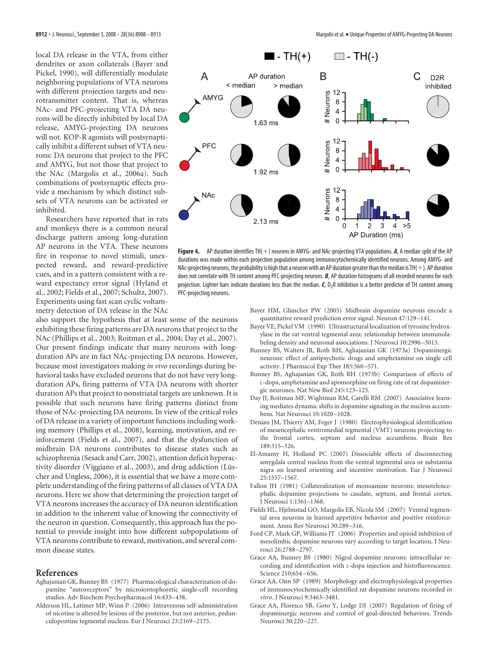local DA release in the VTA, from either dendrites or axon collaterals (Bayer and Pickel, 1990), will differentially modulate neighboring populations of VTA neurons with different projection targets and neurotransmitter content. That is, whereas NAc- and PFC-projecting VTA DA neurons will be directly inhibited by local DA release, AMYG-projecting DA neurons will not. KOP-R agonists will postsynaptically inhibit a different subset of VTA neurons: DA neurons that project to the PFC and AMYG, but not those that project to the NAc (Margolis et al., 2006a). Such combinations of postsynaptic effects provide a mechanism by which distinct subsets of VTA neurons can be activated or inhibited.

Researchers have reported that in rats and monkeys there is a common neural discharge pattern among long-duration AP neurons in the VTA. These neurons fire in response to novel stimuli, unexpected reward, and reward-predictive cues, and in a pattern consistent with a reward expectancy error signal (Hyland et al., 2002; Fields et al., 2007; Schultz, 2007). Experiments using fast scan cyclic voltammetry detection of DA release in the NAc

also support the hypothesis that at least some of the neurons exhibiting these firing patterns are DA neurons that project to the NAc (Phillips et al., 2003; Roitman et al., 2004; Day et al., 2007). Our present findings indicate that many neurons with longduration APs are in fact NAc-projecting DA neurons. However, because most investigators making *in vivo* recordings during behavioral tasks have excluded neurons that do not have very longduration APs, firing patterns of VTA DA neurons with shorter duration APs that project to nonstriatal targets are unknown. It is possible that such neurons have firing patterns distinct from those of NAc-projecting DA neurons. In view of the critical roles of DA release in a variety of important functions including working memory (Phillips et al., 2008), learning, motivation, and reinforcement (Fields et al., 2007), and that the dysfunction of midbrain DA neurons contributes to disease states such as schizophrenia (Sesack and Carr, 2002), attention deficit hyperactivity disorder (Viggiano et al., 2003), and drug addiction (Lüscher and Ungless, 2006), it is essential that we have a more complete understanding of the firing patterns of all classes of VTA DA neurons. Here we show that determining the projection target of VTA neurons increases the accuracy of DA neuron identification in addition to the inherent value of knowing the connectivity of the neuron in question. Consequently, this approach has the potential to provide insight into how different subpopulations of VTA neurons contribute to reward, motivation, and several common disease states.

#### **References**

- Aghajanian GK, Bunney BS (1977) Pharmacological characterization of dopamine "autoreceptors" by microiontophoretic single-cell recording studies. Adv Biochem Psychopharmacol 16:433–438.
- Alderson HL, Latimer MP, Winn P (2006) Intravenous self-administration of nicotine is altered by lesions of the posterior, but not anterior, pedunculopontine tegmental nucleus. Eur J Neurosci 23:2169 –2175.



Figure 4. AP duration identifies TH(+) neurons in AMYG- and NAc-projecting VTA populations. A, A median split of the AP durations was made within each projection population among immunocytochemically identified neurons. Among AMYG- and NAc-projecting neurons, the probability is high that a neuron with an AP duration greater than the median is TH( $+)$ . AP duration does not correlate with TH content among PFC-projecting neurons. *B*, AP duration histograms of all recorded neurons for each projection. Lighter bars indicate durations less than the median. *C*, D<sub>2</sub>R inhibition is a better predictor of TH content among PFC-projecting neurons.

Bayer HM, Glimcher PW (2005) Midbrain dopamine neurons encode a quantitative reward prediction error signal. Neuron 47:129 –141.

- Bayer VE, Pickel VM (1990) Ultrastructural localization of tyrosine hydroxylase in the rat ventral tegmental area: relationship between immunolabeling density and neuronal associations. J Neurosci 10:2996 –3013.
- Bunney BS, Walters JR, Roth RH, Aghajanian GK (1973a) Dopaminergic neurons: effect of antipsychotic drugs and amphetamine on single cell activity. J Pharmacol Exp Ther 185:560 –571.
- Bunney BS, Aghajanian GK, Roth RH (1973b) Comparison of effects of L-dopa, amphetamine and apomorphine on firing rate of rat dopaminergic neurones. Nat New Biol 245:123–125.
- Day JJ, Roitman MF, Wightman RM, Carelli RM (2007) Associative learning mediates dynamic shifts in dopamine signaling in the nucleus accumbens. Nat Neurosci 10:1020 –1028.
- Deniau JM, Thierry AM, Feger J (1980) Electrophysiological identification of mesencephalic ventromedial tegmental (VMT) neurons projecting to the frontal cortex, septum and nucleus accumbens. Brain Res 189:315–326.
- El-Amamy H, Holland PC (2007) Dissociable effects of disconnecting amygdala central nucleus from the ventral tegmental area or substantia nigra on learned orienting and incentive motivation. Eur J Neurosci 25:1557–1567.
- Fallon JH (1981) Collateralization of monoamine neurons: mesotelencephalic dopamine projections to caudate, septum, and frontal cortex. J Neurosci 1:1361–1368.
- Fields HL, Hjelmstad GO, Margolis EB, Nicola SM (2007) Ventral tegmental area neurons in learned appetitive behavior and positive reinforcement. Annu Rev Neurosci 30:289 –316.
- Ford CP, Mark GP, Williams JT (2006) Properties and opioid inhibition of mesolimbic dopamine neurons vary according to target location. J Neurosci 26:2788 –2797.
- Grace AA, Bunney BS (1980) Nigral dopamine neurons: intracellular recording and identification with L-dopa injection and histofluorescence. Science 210:654 –656.
- Grace AA, Onn SP (1989) Morphology and electrophysiological properties of immunocytochemically identified rat dopamine neurons recorded *in vitro*. J Neurosci 9:3463–3481.
- Grace AA, Floresco SB, Goto Y, Lodge DJ (2007) Regulation of firing of dopaminergic neurons and control of goal-directed behaviors. Trends Neurosci 30:220 –227.